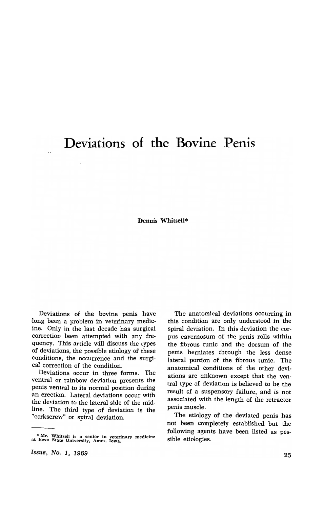## **Deviations of the Bovine Penis**

Dennis Whitsell\*

Deviations of the bovine penis have long been a problem in veterinary medicine. Only in the last decade has surgical correction been attempted with any frequency. This article will discuss the types of deviations, the possible etiology of these conditions, the occurrence and the surgical correction of the condition.

Deviations occur in three forms. The ventral or rainbow deviation presents the penis ventral to its normal position during an erection. Lateral deviations occur with the deviation to the lateral side of the midline. The third type of deviation is the "corkscrew" or spiral deviation.

The anatomical deviations occurring in this condition are only understood in the spiral deviation. In this deviation the corpus cavernosum of the penis rolls within the fibrous tunic and the dorsum of the penis herniates through the less dense lateral portion of the fibrous tunic. The anatomical conditions of the other deviations are unknown except that the ventral type of deviation is believed to be the result of a suspensory failure, and is not associated with the length of the retractor penis muscle.

The etiology of the deviated penis has not been completely established but the following agents have been listed as possible etiologies.

<sup>•</sup> Mr. Whitsell is a senior in veterinary medicine at Iowa State University. Ames. Iowa.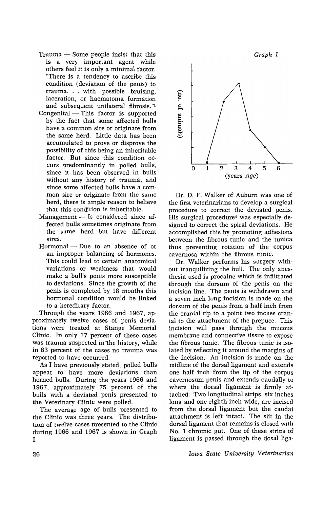- $Trauma$  Some people insist that this is a very important agent while others feel it is only a minimal factor. "There is a tendency to ascribe this condition (deviation of the penis) to trauma. . . with possible bruising, laceration, or haematoma formation and subsequent unilateral fibrosis."!
- $Comgenital$  This factor is supported by the fact that some affected bulls have a common sire or originate from the same herd. Little data has been accumulated to prove or disprove the possibility of this being an inheritable factor. But since this condition occurs predominantly in polled bulls, since it has been observed in bulls without any history of trauma, and since some affected bulls have a common sire or originate from the same herd, there is ample reason to believe that this condition is inheritable.
- $M$ anagement  $-$  Is considered since affected bulls sometimes originate from the same herd but have different sires.
- Hormonal Due to an absence of or an improper balancing of hormones. This could lead to certain anatomical variations or weakness that would make a bull's penis more susceptible to deviations. Since the growth of the penis is completed by 18 months this hormonal condition would be linked to a hereditary factor.

Through the years 1966 and 1967, approximate1y twelve cases of penis deviations were treated at Stange Memorial Clinic. In only 17 percent of these cases was trauma suspected in the history, while in 83 percent of the cases no trauma was reported to have occurred.

As I have previously stated, polled bulls appear to have more deviations than horned bulls. During the years 1966 and 1967, approximately 75 percent of the bulls with a deviated penis presented to the Veterinary Clinic were polled.

The average age of bulls presented to the Clinic was three years. The distribution of twelve cases presented to the Clinic during 1966 and 1967 is shown in Graph I.



Dr. D. F. Walker of Auburn was one of the first veterinarians to develop a surgical procedure to correct the deviated penis. His surgical procedure4 was especially designed to correct the spiral deviations. He accomplished this by promoting adhesions between the fibrous tunic and the tunica thus preventing rotation of the corpus cavernosa within the fibrous tunic.

Dr. Walker performs his surgery without tranquilizing the bull. The only anesthesia used is procaine which is infiltrated ·through the dorsum of the penis on the incision line. The penis is withdrawn and a seven inch long incision is made on the dorsum of the penis from a half inch from the cranial tip to a point two inches cranial to the attachment of the prepuce. This incision will pass through the mucous membrane and connective tissue to expose the fibrous tunic. The fibrous tunic is isolated by reflecting it around the margins of the incision. An incision is made on the midline of the dorsal ligament and extends one half inch from the tip of the corpus cavernosum penis and extends caudally to where the dorsal ligament is firmly attached. Two longitudinal strips, six inches long and one-eighth Inch wide, are incised from the dorsal ligament but the caudai attachment is left intact. The slit in the dorsal ligament that remains is closed with No. 1 chromic gut. One of these strips of ligament is passed through the dosal liga-

*Iowa State University Veterinarian*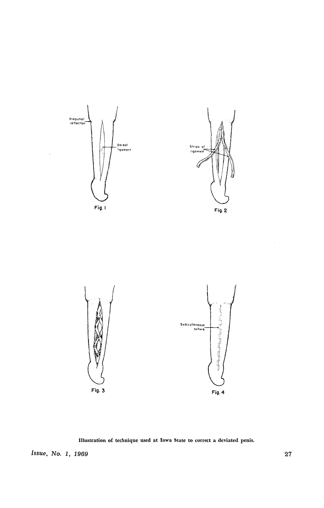

Illustration of technique used at Iowa State to correct a deviated penis.

**Issue, No. 1, 1969** 27